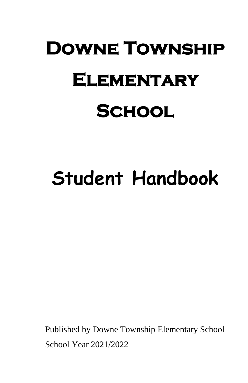# **Downe Township Elementary School**

## **Student Handbook**

Published by Downe Township Elementary School School Year 2021/2022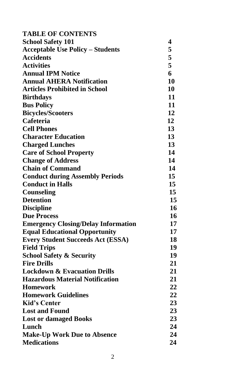| <b>TABLE OF CONTENTS</b>                   |                  |
|--------------------------------------------|------------------|
| <b>School Safety 101</b>                   | 4                |
| <b>Acceptable Use Policy - Students</b>    | 5                |
| <b>Accidents</b>                           | 5                |
| <b>Activities</b>                          | 5                |
| <b>Annual IPM Notice</b>                   | 6                |
| <b>Annual AHERA Notification</b>           | 10               |
| <b>Articles Prohibited in School</b>       | 10               |
| <b>Birthdays</b>                           | 11               |
| <b>Bus Policy</b>                          | 11               |
| <b>Bicycles/Scooters</b>                   | 12               |
| Cafeteria                                  | 12               |
| <b>Cell Phones</b>                         | 13               |
| <b>Character Education</b>                 | 13               |
| <b>Charged Lunches</b>                     | 13               |
| <b>Care of School Property</b>             | 14               |
| <b>Change of Address</b>                   | 14               |
| <b>Chain of Command</b>                    | 14               |
| <b>Conduct during Assembly Periods</b>     | 15               |
| <b>Conduct in Halls</b>                    | 15               |
| Counseling                                 | 15 <sup>15</sup> |
| <b>Detention</b>                           | 15               |
| <b>Discipline</b>                          | 16               |
| <b>Due Process</b>                         | 16               |
| <b>Emergency Closing/Delay Information</b> | 17               |
| <b>Equal Educational Opportunity</b>       | 17               |
| <b>Every Student Succeeds Act (ESSA)</b>   | 18               |
| <b>Field Trips</b>                         | 19               |
| <b>School Safety &amp; Security</b>        | 19               |
| <b>Fire Drills</b>                         | 21               |
| <b>Lockdown &amp; Evacuation Drills</b>    | 21               |
| <b>Hazardous Material Notification</b>     | 21               |
| <b>Homework</b>                            | 22               |
| <b>Homework Guidelines</b>                 | 22               |
| <b>Kid's Center</b>                        | 23               |
| <b>Lost and Found</b>                      | 23               |
| <b>Lost or damaged Books</b>               | 23               |
| Lunch                                      | 24               |
| <b>Make-Up Work Due to Absence</b>         | 24               |
| <b>Medications</b>                         | 24               |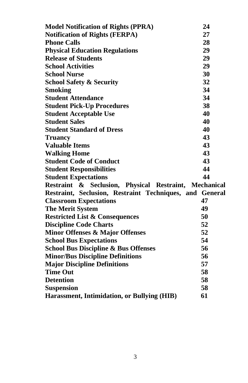| <b>Model Notification of Rights (PPRA)</b>              | 24 |
|---------------------------------------------------------|----|
| <b>Notification of Rights (FERPA)</b>                   | 27 |
| <b>Phone Calls</b>                                      | 28 |
| <b>Physical Education Regulations</b>                   | 29 |
| <b>Release of Students</b>                              | 29 |
| <b>School Activities</b>                                | 29 |
| <b>School Nurse</b>                                     | 30 |
| <b>School Safety &amp; Security</b>                     | 32 |
| <b>Smoking</b>                                          | 34 |
| <b>Student Attendance</b>                               | 34 |
| <b>Student Pick-Up Procedures</b>                       | 38 |
| <b>Student Acceptable Use</b>                           | 40 |
| <b>Student Sales</b>                                    | 40 |
| <b>Student Standard of Dress</b>                        | 40 |
| <b>Truancy</b>                                          | 43 |
| <b>Valuable Items</b>                                   | 43 |
| <b>Walking Home</b>                                     | 43 |
| <b>Student Code of Conduct</b>                          | 43 |
| <b>Student Responsibilities</b>                         | 44 |
| <b>Student Expectations</b>                             | 44 |
| Restraint & Seclusion, Physical Restraint, Mechanical   |    |
| Restraint, Seclusion, Restraint Techniques, and General |    |
| <b>Classroom Expectations</b>                           | 47 |
| <b>The Merit System</b>                                 | 49 |
| <b>Restricted List &amp; Consequences</b>               | 50 |
| <b>Discipline Code Charts</b>                           | 52 |
| <b>Minor Offenses &amp; Major Offenses</b>              | 52 |
| <b>School Bus Expectations</b>                          | 54 |
| <b>School Bus Discipline &amp; Bus Offenses</b>         | 56 |
| <b>Minor/Bus Discipline Definitions</b>                 | 56 |
| <b>Major Discipline Definitions</b>                     | 57 |
| <b>Time Out</b>                                         | 58 |
| <b>Detention</b>                                        | 58 |
| <b>Suspension</b>                                       | 58 |
| Harassment, Intimidation, or Bullying (HIB)             | 61 |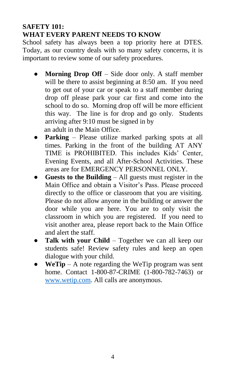#### **SAFETY 101: WHAT EVERY PARENT NEEDS TO KNOW**

School safety has always been a top priority here at DTES. Today, as our country deals with so many safety concerns, it is important to review some of our safety procedures.

- **Morning Drop Off** Side door only. A staff member will be there to assist beginning at 8:50 am. If you need to get out of your car or speak to a staff member during drop off please park your car first and come into the school to do so. Morning drop off will be more efficient this way. The line is for drop and go only. Students arriving after 9:10 must be signed in by an adult in the Main Office.
- **Parking**  Please utilize marked parking spots at all times. Parking in the front of the building AT ANY TIME is PROHIBITED. This includes Kids' Center, Evening Events, and all After-School Activities. These areas are for EMERGENCY PERSONNEL ONLY.
- **Guests to the Building** All guests must register in the Main Office and obtain a Visitor's Pass. Please proceed directly to the office or classroom that you are visiting. Please do not allow anyone in the building or answer the door while you are here. You are to only visit the classroom in which you are registered. If you need to visit another area, please report back to the Main Office and alert the staff.
- **Talk with your Child**  Together we can all keep our students safe! Review safety rules and keep an open dialogue with your child.
- $WeTip A$  note regarding the WeTip program was sent home. Contact 1-800-87-CRIME (1-800-782-7463) or [www.wetip.com.](http://www.wetip.com/) All calls are anonymous.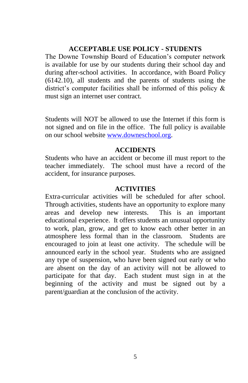#### **ACCEPTABLE USE POLICY - STUDENTS**

The Downe Township Board of Education's computer network is available for use by our students during their school day and during after-school activities. In accordance, with Board Policy (6142.10), all students and the parents of students using the district's computer facilities shall be informed of this policy & must sign an internet user contract.

Students will NOT be allowed to use the Internet if this form is not signed and on file in the office. The full policy is available on our school website [www.downeschool.org.](http://www.downeschool.org/)

#### **ACCIDENTS**

Students who have an accident or become ill must report to the teacher immediately. The school must have a record of the accident, for insurance purposes.

#### **ACTIVITIES**

Extra-curricular activities will be scheduled for after school. Through activities, students have an opportunity to explore many areas and develop new interests. This is an important educational experience. It offers students an unusual opportunity to work, plan, grow, and get to know each other better in an atmosphere less formal than in the classroom. Students are encouraged to join at least one activity. The schedule will be announced early in the school year. Students who are assigned any type of suspension, who have been signed out early or who are absent on the day of an activity will not be allowed to participate for that day. Each student must sign in at the beginning of the activity and must be signed out by a parent/guardian at the conclusion of the activity.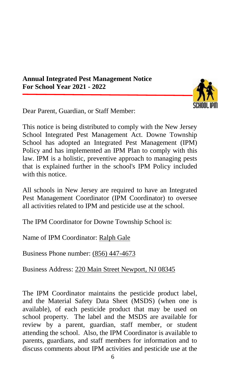**Annual Integrated Pest Management Notice For School Year 2021 - 2022**



Dear Parent, Guardian, or Staff Member:

This notice is being distributed to comply with the New Jersey School Integrated Pest Management Act. Downe Township School has adopted an Integrated Pest Management (IPM) Policy and has implemented an IPM Plan to comply with this law. IPM is a holistic, preventive approach to managing pests that is explained further in the school's IPM Policy included with this notice

All schools in New Jersey are required to have an Integrated Pest Management Coordinator (IPM Coordinator) to oversee all activities related to IPM and pesticide use at the school.

The IPM Coordinator for Downe Township School is:

Name of IPM Coordinator: Ralph Gale

Business Phone number: (856) 447-4673

Business Address: 220 Main Street Newport, NJ 08345

The IPM Coordinator maintains the pesticide product label, and the Material Safety Data Sheet (MSDS) (when one is available), of each pesticide product that may be used on school property. The label and the MSDS are available for review by a parent, guardian, staff member, or student attending the school. Also, the IPM Coordinator is available to parents, guardians, and staff members for information and to discuss comments about IPM activities and pesticide use at the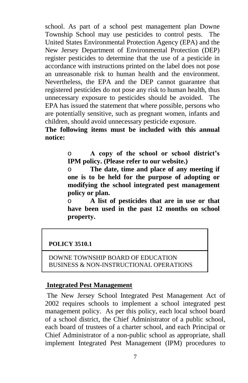school. As part of a school pest management plan Downe Township School may use pesticides to control pests. The United States Environmental Protection Agency (EPA) and the New Jersey Department of Environmental Protection (DEP) register pesticides to determine that the use of a pesticide in accordance with instructions printed on the label does not pose an unreasonable risk to human health and the environment. Nevertheless, the EPA and the DEP cannot guarantee that registered pesticides do not pose any risk to human health, thus unnecessary exposure to pesticides should be avoided. The EPA has issued the statement that where possible, persons who are potentially sensitive, such as pregnant women, infants and children, should avoid unnecessary pesticide exposure.

**The following items must be included with this annual notice:**

> o **A copy of the school or school district's IPM policy. (Please refer to our website.)**

> o **The date, time and place of any meeting if one is to be held for the purpose of adopting or modifying the school integrated pest management policy or plan.**

> o **A list of pesticides that are in use or that have been used in the past 12 months on school property.**

#### **POLICY 3510.1**

DOWNE TOWNSHIP BOARD OF EDUCATION BUSINESS & NON-INSTRUCTIONAL OPERATIONS

#### **Integrated Pest Management**

The New Jersey School Integrated Pest Management Act of 2002 requires schools to implement a school integrated pest management policy. As per this policy, each local school board of a school district, the Chief Administrator of a public school, each board of trustees of a charter school, and each Principal or Chief Administrator of a non-public school as appropriate, shall implement Integrated Pest Management (IPM) procedures to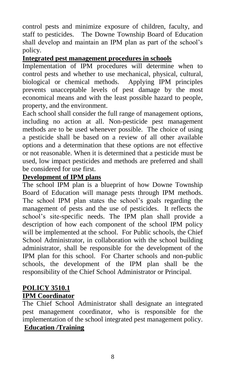control pests and minimize exposure of children, faculty, and staff to pesticides. The Downe Township Board of Education shall develop and maintain an IPM plan as part of the school's policy.

#### **Integrated pest management procedures in schools**

Implementation of IPM procedures will determine when to control pests and whether to use mechanical, physical, cultural, biological or chemical methods. Applying IPM principles prevents unacceptable levels of pest damage by the most economical means and with the least possible hazard to people, property, and the environment.

Each school shall consider the full range of management options, including no action at all. Non-pesticide pest management methods are to be used whenever possible. The choice of using a pesticide shall be based on a review of all other available options and a determination that these options are not effective or not reasonable. When it is determined that a pesticide must be used, low impact pesticides and methods are preferred and shall be considered for use first.

#### **Development of IPM plans**

The school IPM plan is a blueprint of how Downe Township Board of Education will manage pests through IPM methods. The school IPM plan states the school's goals regarding the management of pests and the use of pesticides. It reflects the school's site-specific needs. The IPM plan shall provide a description of how each component of the school IPM policy will be implemented at the school. For Public schools, the Chief School Administrator, in collaboration with the school building administrator, shall be responsible for the development of the IPM plan for this school. For Charter schools and non-public schools, the development of the IPM plan shall be the responsibility of the Chief School Administrator or Principal.

#### **POLICY 3510.1 IPM Coordinator**

The Chief School Administrator shall designate an integrated pest management coordinator, who is responsible for the implementation of the school integrated pest management policy. **Education /Training**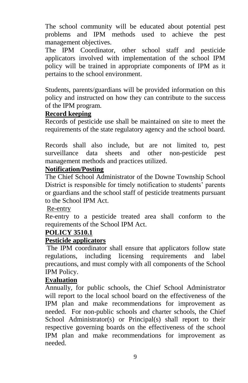The school community will be educated about potential pest problems and IPM methods used to achieve the pest management objectives.

The IPM Coordinator, other school staff and pesticide applicators involved with implementation of the school IPM policy will be trained in appropriate components of IPM as it pertains to the school environment.

Students, parents/guardians will be provided information on this policy and instructed on how they can contribute to the success of the IPM program.

#### **Record keeping**

Records of pesticide use shall be maintained on site to meet the requirements of the state regulatory agency and the school board.

Records shall also include, but are not limited to, pest surveillance data sheets and other non-pesticide pest management methods and practices utilized.

#### **Notification/Posting**

The Chief School Administrator of the Downe Township School District is responsible for timely notification to students' parents or guardians and the school staff of pesticide treatments pursuant to the School IPM Act.

#### Re-entry

Re-entry to a pesticide treated area shall conform to the requirements of the School IPM Act.

#### **POLICY 3510.1**

#### **Pesticide applicators**

The IPM coordinator shall ensure that applicators follow state regulations, including licensing requirements and label precautions, and must comply with all components of the School IPM Policy.

#### **Evaluation**

Annually, for public schools, the Chief School Administrator will report to the local school board on the effectiveness of the IPM plan and make recommendations for improvement as needed. For non-public schools and charter schools, the Chief School Administrator(s) or Principal(s) shall report to their respective governing boards on the effectiveness of the school IPM plan and make recommendations for improvement as needed.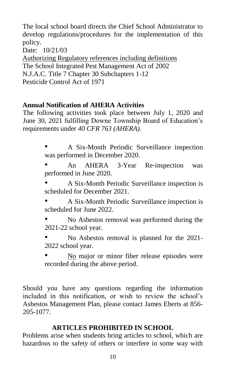The local school board directs the Chief School Administrator to develop regulations/procedures for the implementation of this policy.

Date: 10/21/03

Authorizing Regulatory references including definitions The School Integrated Pest Management Act of 2002 N.J.A.C. Title 7 Chapter 30 Subchapters 1-12 Pesticide Control Act of 1971

#### **Annual Notification of AHERA Activities**

The following activities took place between July 1, 2020 and June 30, 2021 fulfilling Downe Township Board of Education's requirements under *40 CFR 763 (AHERA).*

> • A Six-Month Periodic Surveillance inspection was performed in December 2020.

> • An AHERA 3-Year Re-inspection was performed in June 2020.

> • A Six-Month Periodic Surveillance inspection is scheduled for December 2021.

> • A Six-Month Periodic Surveillance inspection is scheduled for June 2022.

> • No Asbestos removal was performed during the 2021-22 school year.

> • No Asbestos removal is planned for the 2021- 2022 school year.

> • No major or minor fiber release episodes were recorded during the above period.

Should you have any questions regarding the information included in this notification, or wish to review the school's Asbestos Management Plan, please contact James Eberts at 856- 205-1077.

#### **ARTICLES PROHIBITED IN SCHOOL**

Problems arise when students bring articles to school, which are hazardous to the safety of others or interfere in some way with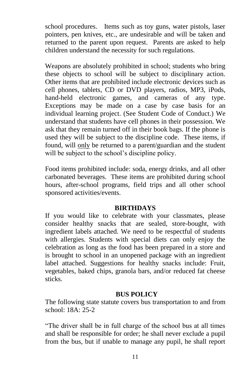school procedures. Items such as toy guns, water pistols, laser pointers, pen knives, etc., are undesirable and will be taken and returned to the parent upon request. Parents are asked to help children understand the necessity for such regulations.

Weapons are absolutely prohibited in school; students who bring these objects to school will be subject to disciplinary action. Other items that are prohibited include electronic devices such as cell phones, tablets, CD or DVD players, radios, MP3, iPods, hand-held electronic games, and cameras of any type. Exceptions may be made on a case by case basis for an individual learning project. (See Student Code of Conduct.) We understand that students have cell phones in their possession. We ask that they remain turned off in their book bags. If the phone is used they will be subject to the discipline code. These items, if found, will only be returned to a parent/guardian and the student will be subject to the school's discipline policy.

Food items prohibited include: soda, energy drinks, and all other carbonated beverages. These items are prohibited during school hours, after-school programs, field trips and all other school sponsored activities/events.

#### **BIRTHDAYS**

If you would like to celebrate with your classmates, please consider healthy snacks that are sealed, store-bought, with ingredient labels attached. We need to be respectful of students with allergies. Students with special diets can only enjoy the celebration as long as the food has been prepared in a store and is brought to school in an unopened package with an ingredient label attached. Suggestions for healthy snacks include: Fruit, vegetables, baked chips, granola bars, and/or reduced fat cheese sticks.

#### **BUS POLICY**

The following state statute covers bus transportation to and from school: 18A: 25-2

"The driver shall be in full charge of the school bus at all times and shall be responsible for order; he shall never exclude a pupil from the bus, but if unable to manage any pupil, he shall report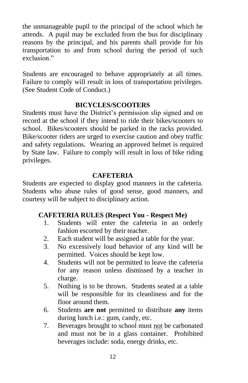the unmanageable pupil to the principal of the school which he attends. A pupil may be excluded from the bus for disciplinary reasons by the principal, and his parents shall provide for his transportation to and from school during the period of such exclusion."

Students are encouraged to behave appropriately at all times. Failure to comply will result in loss of transportation privileges. (See Student Code of Conduct.)

#### **BICYCLES/SCOOTERS**

Students must have the District's permission slip signed and on record at the school if they intend to ride their bikes/scooters to school. Bikes/scooters should be parked in the racks provided. Bike/scooter riders are urged to exercise caution and obey traffic and safety regulations. Wearing an approved helmet is required by State law. Failure to comply will result in loss of bike riding privileges.

#### **CAFETERIA**

Students are expected to display good manners in the cafeteria. Students who abuse rules of good sense, good manners, and courtesy will be subject to disciplinary action.

#### **CAFETERIA RULES (Respect You - Respect Me)**

- 1. Students will enter the cafeteria in an orderly fashion escorted by their teacher.
- 2. Each student will be assigned a table for the year.
- 3. No excessively loud behavior of any kind will be permitted. Voices should be kept low.
- 4. Students will not be permitted to leave the cafeteria for any reason unless dismissed by a teacher in charge.
- 5. Nothing is to be thrown. Students seated at a table will be responsible for its cleanliness and for the floor around them.
- 6. Students **are not** permitted to distribute **any** items during lunch i.e.: gum, candy, etc.
- 7. Beverages brought to school must not be carbonated and must not be in a glass container. Prohibited beverages include: soda, energy drinks, etc.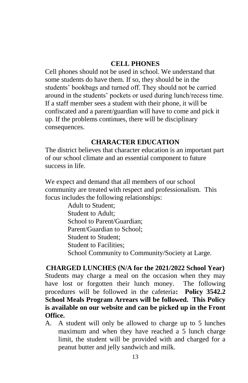#### **CELL PHONES**

Cell phones should not be used in school. We understand that some students do have them. If so, they should be in the students' bookbags and turned off. They should not be carried around in the students' pockets or used during lunch/recess time. If a staff member sees a student with their phone, it will be confiscated and a parent/guardian will have to come and pick it up. If the problems continues, there will be disciplinary consequences.

#### **CHARACTER EDUCATION**

The district believes that character education is an important part of our school climate and an essential component to future success in life.

We expect and demand that all members of our school community are treated with respect and professionalism. This focus includes the following relationships:

Adult to Student; Student to Adult; School to Parent/Guardian; Parent/Guardian to School; Student to Student; Student to Facilities; School Community to Community/Society at Large.

**CHARGED LUNCHES (N/A for the 2021/2022 School Year)** Students may charge a meal on the occasion when they may have lost or forgotten their lunch money. The following procedures will be followed in the cafeteria**: Policy 3542.2 School Meals Program Arrears will be followed. This Policy is available on our website and can be picked up in the Front Office.**

A. A student will only be allowed to charge up to 5 lunches maximum and when they have reached a 5 lunch charge limit, the student will be provided with and charged for a peanut butter and jelly sandwich and milk.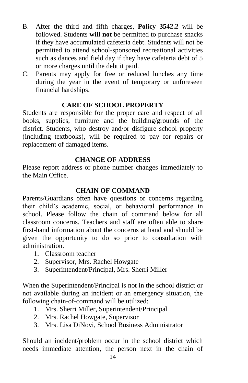- B. After the third and fifth charges, **Policy 3542.2** will be followed. Students **will not** be permitted to purchase snacks if they have accumulated cafeteria debt. Students will not be permitted to attend school-sponsored recreational activities such as dances and field day if they have cafeteria debt of 5 or more charges until the debt it paid.
- C. Parents may apply for free or reduced lunches any time during the year in the event of temporary or unforeseen financial hardships.

#### **CARE OF SCHOOL PROPERTY**

Students are responsible for the proper care and respect of all books, supplies, furniture and the building/grounds of the district. Students, who destroy and/or disfigure school property (including textbooks), will be required to pay for repairs or replacement of damaged items.

#### **CHANGE OF ADDRESS**

Please report address or phone number changes immediately to the Main Office.

#### **CHAIN OF COMMAND**

Parents/Guardians often have questions or concerns regarding their child's academic, social, or behavioral performance in school. Please follow the chain of command below for all classroom concerns. Teachers and staff are often able to share first-hand information about the concerns at hand and should be given the opportunity to do so prior to consultation with administration.

- 1. Classroom teacher
- 2. Supervisor, Mrs. Rachel Howgate
- 3. Superintendent/Principal, Mrs. Sherri Miller

When the Superintendent/Principal is not in the school district or not available during an incident or an emergency situation, the following chain-of-command will be utilized:

- 1. Mrs. Sherri Miller, Superintendent/Principal
- 2. Mrs. Rachel Howgate, Supervisor
- 3. Mrs. Lisa DiNovi, School Business Administrator

Should an incident/problem occur in the school district which needs immediate attention, the person next in the chain of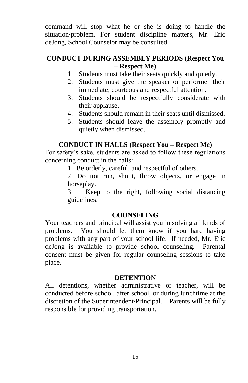command will stop what he or she is doing to handle the situation/problem. For student discipline matters, Mr. Eric deJong, School Counselor may be consulted.

#### **CONDUCT DURING ASSEMBLY PERIODS (Respect You – Respect Me)**

- 1. Students must take their seats quickly and quietly.
- 2. Students must give the speaker or performer their immediate, courteous and respectful attention.
- 3. Students should be respectfully considerate with their applause.
- 4. Students should remain in their seats until dismissed.
- 5. Students should leave the assembly promptly and quietly when dismissed.

#### **CONDUCT IN HALLS (Respect You – Respect Me)**

For safety's sake, students are asked to follow these regulations concerning conduct in the halls:

1. Be orderly, careful, and respectful of others.

2. Do not run, shout, throw objects, or engage in horseplay.

3. Keep to the right, following social distancing guidelines.

#### **COUNSELING**

Your teachers and principal will assist you in solving all kinds of problems. You should let them know if you hare having problems with any part of your school life. If needed, Mr. Eric deJong is available to provide school counseling. Parental consent must be given for regular counseling sessions to take place.

#### **DETENTION**

All detentions, whether administrative or teacher, will be conducted before school, after school, or during lunchtime at the discretion of the Superintendent/Principal. Parents will be fully responsible for providing transportation.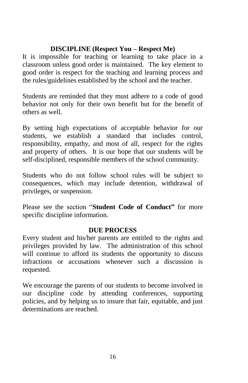#### **DISCIPLINE (Respect You – Respect Me)**

It is impossible for teaching or learning to take place in a classroom unless good order is maintained. The key element to good order is respect for the teaching and learning process and the rules/guidelines established by the school and the teacher.

Students are reminded that they must adhere to a code of good behavior not only for their own benefit but for the benefit of others as well.

By setting high expectations of acceptable behavior for our students, we establish a standard that includes control, responsibility, empathy, and most of all, respect for the rights and property of others. It is our hope that our students will be self-disciplined, responsible members of the school community.

Students who do not follow school rules will be subject to consequences, which may include detention, withdrawal of privileges, or suspension.

Please see the section "**Student Code of Conduct"** for more specific discipline information.

#### **DUE PROCESS**

Every student and his/her parents are entitled to the rights and privileges provided by law. The administration of this school will continue to afford its students the opportunity to discuss infractions or accusations whenever such a discussion is requested.

We encourage the parents of our students to become involved in our discipline code by attending conferences, supporting policies, and by helping us to insure that fair, equitable, and just determinations are reached.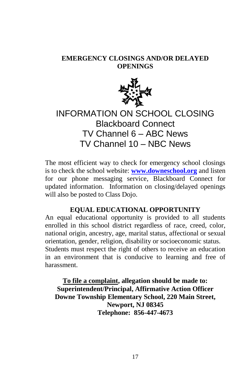#### **EMERGENCY CLOSINGS AND/OR DELAYED OPENINGS**



### INFORMATION ON SCHOOL CLOSING Blackboard Connect TV Channel 6 – ABC News TV Channel 10 – NBC News

The most efficient way to check for emergency school closings is to check the school website: **[www.downeschool.org](http://www.downeschool.org/)** and listen for our phone messaging service, Blackboard Connect for updated information. Information on closing/delayed openings will also be posted to Class Dojo.

#### **EQUAL EDUCATIONAL OPPORTUNITY**

An equal educational opportunity is provided to all students enrolled in this school district regardless of race, creed, color, national origin, ancestry, age, marital status, affectional or sexual orientation, gender, religion, disability or socioeconomic status. Students must respect the right of others to receive an education in an environment that is conducive to learning and free of harassment.

**To file a complaint, allegation should be made to: Superintendent/Principal, Affirmative Action Officer Downe Township Elementary School, 220 Main Street, Newport, NJ 08345 Telephone: 856-447-4673**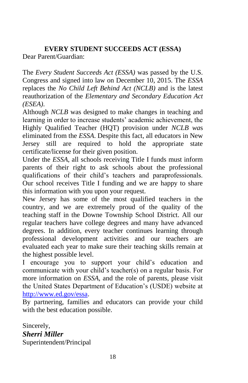**EVERY STUDENT SUCCEEDS ACT (ESSA)** Dear Parent/Guardian:

The *Every Student Succeeds Act (ESSA)* was passed by the U.S. Congress and signed into law on December 10, 2015. The *ESSA* replaces the *No Child Left Behind Act (NCLB)* and is the latest reauthorization of the *Elementary and Secondary Education Act (ESEA)*.

Although *NCLB* was designed to make changes in teaching and learning in order to increase students' academic achievement, the Highly Qualified Teacher (HQT) provision under *NCLB wa*s eliminated from the *ESSA*. Despite this fact, all educators in New Jersey still are required to hold the appropriate state certificate/license for their given position.

Under the *ESSA*, all schools receiving Title I funds must inform parents of their right to ask schools about the professional qualifications of their child's teachers and paraprofessionals. Our school receives Title I funding and we are happy to share this information with you upon your request.

New Jersey has some of the most qualified teachers in the country, and we are extremely proud of the quality of the teaching staff in the Downe Township School District. All our regular teachers have college degrees and many have advanced degrees. In addition, every teacher continues learning through professional development activities and our teachers are evaluated each year to make sure their teaching skills remain at the highest possible level.

I encourage you to support your child's education and communicate with your child's teacher(s) on a regular basis. For more information on *ESSA*, and the role of parents, please visit the United States Department of Education's (USDE) website at [http://www.ed.gov/essa.](http://www.ed.gov/essa)

By partnering, families and educators can provide your child with the best education possible.

Sincerely, *Sherri Miller* Superintendent/Principal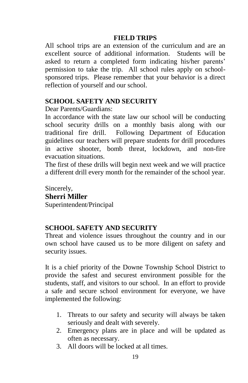#### **FIELD TRIPS**

All school trips are an extension of the curriculum and are an excellent source of additional information. Students will be asked to return a completed form indicating his/her parents' permission to take the trip. All school rules apply on schoolsponsored trips. Please remember that your behavior is a direct reflection of yourself and our school.

#### **SCHOOL SAFETY AND SECURITY**

Dear Parents/Guardians:

In accordance with the state law our school will be conducting school security drills on a monthly basis along with our traditional fire drill. Following Department of Education guidelines our teachers will prepare students for drill procedures in active shooter, bomb threat, lockdown, and non-fire evacuation situations.

The first of these drills will begin next week and we will practice a different drill every month for the remainder of the school year.

Sincerely, **Sherri Miller** Superintendent/Principal

#### **SCHOOL SAFETY AND SECURITY**

Threat and violence issues throughout the country and in our own school have caused us to be more diligent on safety and security issues.

It is a chief priority of the Downe Township School District to provide the safest and securest environment possible for the students, staff, and visitors to our school. In an effort to provide a safe and secure school environment for everyone, we have implemented the following:

- 1. Threats to our safety and security will always be taken seriously and dealt with severely.
- 2. Emergency plans are in place and will be updated as often as necessary.
- 3. All doors will be locked at all times.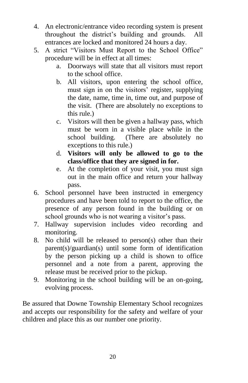- 4. An electronic/entrance video recording system is present throughout the district's building and grounds. All entrances are locked and monitored 24 hours a day.
- 5. A strict "Visitors Must Report to the School Office" procedure will be in effect at all times:
	- a. Doorways will state that all visitors must report to the school office.
	- b. All visitors, upon entering the school office, must sign in on the visitors' register, supplying the date, name, time in, time out, and purpose of the visit. (There are absolutely no exceptions to this rule.)
	- c. Visitors will then be given a hallway pass, which must be worn in a visible place while in the school building. (There are absolutely no exceptions to this rule.)
	- d. **Visitors will only be allowed to go to the class/office that they are signed in for.**
	- e. At the completion of your visit, you must sign out in the main office and return your hallway pass.
- 6. School personnel have been instructed in emergency procedures and have been told to report to the office, the presence of any person found in the building or on school grounds who is not wearing a visitor's pass.
- 7. Hallway supervision includes video recording and monitoring.
- 8. No child will be released to person(s) other than their parent(s)/guardian(s) until some form of identification by the person picking up a child is shown to office personnel and a note from a parent, approving the release must be received prior to the pickup.
- 9. Monitoring in the school building will be an on-going, evolving process.

Be assured that Downe Township Elementary School recognizes and accepts our responsibility for the safety and welfare of your children and place this as our number one priority.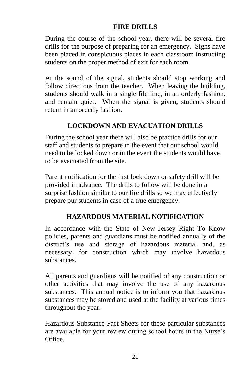#### **FIRE DRILLS**

During the course of the school year, there will be several fire drills for the purpose of preparing for an emergency. Signs have been placed in conspicuous places in each classroom instructing students on the proper method of exit for each room.

At the sound of the signal, students should stop working and follow directions from the teacher. When leaving the building, students should walk in a single file line, in an orderly fashion, and remain quiet. When the signal is given, students should return in an orderly fashion.

#### **LOCKDOWN AND EVACUATION DRILLS**

During the school year there will also be practice drills for our staff and students to prepare in the event that our school would need to be locked down or in the event the students would have to be evacuated from the site.

Parent notification for the first lock down or safety drill will be provided in advance. The drills to follow will be done in a surprise fashion similar to our fire drills so we may effectively prepare our students in case of a true emergency.

#### **HAZARDOUS MATERIAL NOTIFICATION**

In accordance with the State of New Jersey Right To Know policies, parents and guardians must be notified annually of the district's use and storage of hazardous material and, as necessary, for construction which may involve hazardous substances.

All parents and guardians will be notified of any construction or other activities that may involve the use of any hazardous substances. This annual notice is to inform you that hazardous substances may be stored and used at the facility at various times throughout the year.

Hazardous Substance Fact Sheets for these particular substances are available for your review during school hours in the Nurse's Office.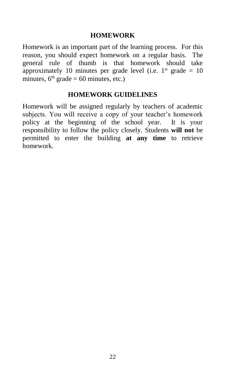#### **HOMEWORK**

Homework is an important part of the learning process. For this reason, you should expect homework on a regular basis. The general rule of thumb is that homework should take approximately 10 minutes per grade level (i.e.  $1<sup>st</sup>$  grade = 10 minutes,  $6<sup>th</sup>$  grade = 60 minutes, etc.)

#### **HOMEWORK GUIDELINES**

Homework will be assigned regularly by teachers of academic subjects. You will receive a copy of your teacher's homework policy at the beginning of the school year. It is your responsibility to follow the policy closely. Students **will not** be permitted to enter the building **at any time** to retrieve homework.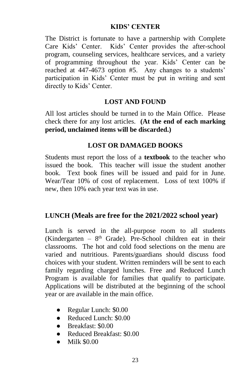#### **KIDS' CENTER**

The District is fortunate to have a partnership with Complete Care Kids' Center. Kids' Center provides the after-school program, counseling services, healthcare services, and a variety of programming throughout the year. Kids' Center can be reached at 447-4673 option #5. Any changes to a students' participation in Kids' Center must be put in writing and sent directly to Kids' Center.

#### **LOST AND FOUND**

All lost articles should be turned in to the Main Office. Please check there for any lost articles. **(At the end of each marking period, unclaimed items will be discarded.)**

#### **LOST OR DAMAGED BOOKS**

Students must report the loss of a **textbook** to the teacher who issued the book. This teacher will issue the student another book. Text book fines will be issued and paid for in June. Wear/Tear 10% of cost of replacement. Loss of text 100% if new, then 10% each year text was in use.

#### **LUNCH (Meals are free for the 2021/2022 school year)**

Lunch is served in the all-purpose room to all students (Kindergarten -  $8<sup>th</sup>$  Grade). Pre-School children eat in their classrooms. The hot and cold food selections on the menu are varied and nutritious. Parents/guardians should discuss food choices with your student. Written reminders will be sent to each family regarding charged lunches. Free and Reduced Lunch Program is available for families that qualify to participate. Applications will be distributed at the beginning of the school year or are available in the main office.

- Regular Lunch: \$0.00
- Reduced Lunch: \$0.00
- Breakfast: \$0.00
- Reduced Breakfast: \$0.00
- Milk \$0.00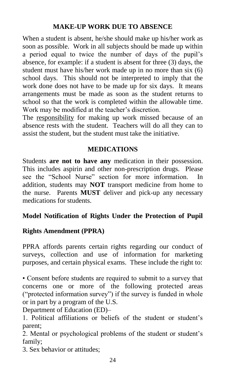#### **MAKE-UP WORK DUE TO ABSENCE**

When a student is absent, he/she should make up his/her work as soon as possible. Work in all subjects should be made up within a period equal to twice the number of days of the pupil's absence, for example: if a student is absent for three (3) days, the student must have his/her work made up in no more than six (6) school days. This should not be interpreted to imply that the work done does not have to be made up for six days. It means arrangements must be made as soon as the student returns to school so that the work is completed within the allowable time. Work may be modified at the teacher's discretion.

The responsibility for making up work missed because of an absence rests with the student. Teachers will do all they can to assist the student, but the student must take the initiative.

#### **MEDICATIONS**

Students **are not to have any** medication in their possession. This includes aspirin and other non-prescription drugs. Please see the "School Nurse" section for more information. In addition, students may **NOT** transport medicine from home to the nurse. Parents **MUST** deliver and pick-up any necessary medications for students.

#### **Model Notification of Rights Under the Protection of Pupil**

#### **Rights Amendment (PPRA)**

PPRA affords parents certain rights regarding our conduct of surveys, collection and use of information for marketing purposes, and certain physical exams. These include the right to:

• Consent before students are required to submit to a survey that concerns one or more of the following protected areas ("protected information survey") if the survey is funded in whole or in part by a program of the U.S.

Department of Education (ED)–

1. Political affiliations or beliefs of the student or student's parent;

2. Mental or psychological problems of the student or student's family;

3. Sex behavior or attitudes;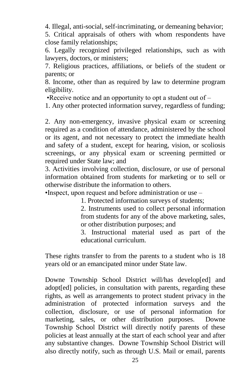4. Illegal, anti-social, self-incriminating, or demeaning behavior;

5. Critical appraisals of others with whom respondents have close family relationships;

6. Legally recognized privileged relationships, such as with lawyers, doctors, or ministers;

7. Religious practices, affiliations, or beliefs of the student or parents; or

8. Income, other than as required by law to determine program eligibility.

•Receive notice and an opportunity to opt a student out of  $-$ 

1. Any other protected information survey, regardless of funding;

2. Any non-emergency, invasive physical exam or screening required as a condition of attendance, administered by the school or its agent, and not necessary to protect the immediate health and safety of a student, except for hearing, vision, or scoliosis screenings, or any physical exam or screening permitted or required under State law; and

3. Activities involving collection, disclosure, or use of personal information obtained from students for marketing or to sell or otherwise distribute the information to others.

•Inspect, upon request and before administration or use –

1. Protected information surveys of students;

2. Instruments used to collect personal information from students for any of the above marketing, sales, or other distribution purposes; and

3. Instructional material used as part of the educational curriculum.

These rights transfer to from the parents to a student who is 18 years old or an emancipated minor under State law.

Downe Township School District will/has develop[ed] and adopt[ed] policies, in consultation with parents, regarding these rights, as well as arrangements to protect student privacy in the administration of protected information surveys and the collection, disclosure, or use of personal information for marketing, sales, or other distribution purposes. Downe Township School District will directly notify parents of these policies at least annually at the start of each school year and after any substantive changes. Downe Township School District will also directly notify, such as through U.S. Mail or email, parents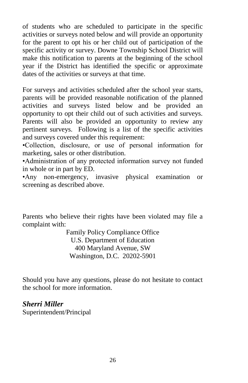of students who are scheduled to participate in the specific activities or surveys noted below and will provide an opportunity for the parent to opt his or her child out of participation of the specific activity or survey. Downe Township School District will make this notification to parents at the beginning of the school year if the District has identified the specific or approximate dates of the activities or surveys at that time.

For surveys and activities scheduled after the school year starts, parents will be provided reasonable notification of the planned activities and surveys listed below and be provided an opportunity to opt their child out of such activities and surveys. Parents will also be provided an opportunity to review any pertinent surveys. Following is a list of the specific activities and surveys covered under this requirement:

•Collection, disclosure, or use of personal information for marketing, sales or other distribution.

•Administration of any protected information survey not funded in whole or in part by ED.

•Any non-emergency, invasive physical examination or screening as described above.

Parents who believe their rights have been violated may file a complaint with:

> Family Policy Compliance Office U.S. Department of Education 400 Maryland Avenue, SW Washington, D.C. 20202-5901

Should you have any questions, please do not hesitate to contact the school for more information.

*Sherri Miller* Superintendent/Principal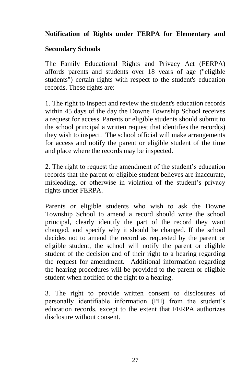#### **Notification of Rights under FERPA for Elementary and**

#### **Secondary Schools**

The Family Educational Rights and Privacy Act (FERPA) affords parents and students over 18 years of age ("eligible students") certain rights with respect to the student's education records. These rights are:

1. The right to inspect and review the student's education records within 45 days of the day the Downe Township School receives a request for access. Parents or eligible students should submit to the school principal a written request that identifies the record(s) they wish to inspect. The school official will make arrangements for access and notify the parent or eligible student of the time and place where the records may be inspected.

2. The right to request the amendment of the student's education records that the parent or eligible student believes are inaccurate, misleading, or otherwise in violation of the student's privacy rights under FERPA.

Parents or eligible students who wish to ask the Downe Township School to amend a record should write the school principal, clearly identify the part of the record they want changed, and specify why it should be changed. If the school decides not to amend the record as requested by the parent or eligible student, the school will notify the parent or eligible student of the decision and of their right to a hearing regarding the request for amendment. Additional information regarding the hearing procedures will be provided to the parent or eligible student when notified of the right to a hearing.

3. The right to provide written consent to disclosures of personally identifiable information (PII) from the student's education records, except to the extent that FERPA authorizes disclosure without consent.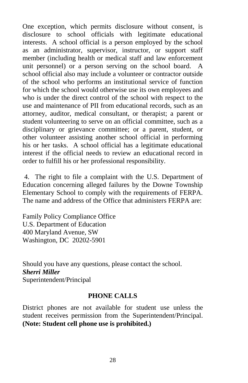One exception, which permits disclosure without consent, is disclosure to school officials with legitimate educational interests. A school official is a person employed by the school as an administrator, supervisor, instructor, or support staff member (including health or medical staff and law enforcement unit personnel) or a person serving on the school board. A school official also may include a volunteer or contractor outside of the school who performs an institutional service of function for which the school would otherwise use its own employees and who is under the direct control of the school with respect to the use and maintenance of PII from educational records, such as an attorney, auditor, medical consultant, or therapist; a parent or student volunteering to serve on an official committee, such as a disciplinary or grievance committee; or a parent, student, or other volunteer assisting another school official in performing his or her tasks. A school official has a legitimate educational interest if the official needs to review an educational record in order to fulfill his or her professional responsibility.

4. The right to file a complaint with the U.S. Department of Education concerning alleged failures by the Downe Township Elementary School to comply with the requirements of FERPA. The name and address of the Office that administers FERPA are:

Family Policy Compliance Office U.S. Department of Education 400 Maryland Avenue, SW Washington, DC 20202-5901

Should you have any questions, please contact the school. *Sherri Miller* Superintendent/Principal

#### **PHONE CALLS**

District phones are not available for student use unless the student receives permission from the Superintendent/Principal. **(Note: Student cell phone use is prohibited.)**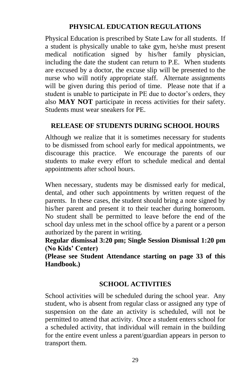#### **PHYSICAL EDUCATION REGULATIONS**

Physical Education is prescribed by State Law for all students. If a student is physically unable to take gym, he/she must present medical notification signed by his/her family physician, including the date the student can return to P.E. When students are excused by a doctor, the excuse slip will be presented to the nurse who will notify appropriate staff. Alternate assignments will be given during this period of time. Please note that if a student is unable to participate in PE due to doctor's orders, they also **MAY NOT** participate in recess activities for their safety. Students must wear sneakers for PE.

#### **RELEASE OF STUDENTS DURING SCHOOL HOURS**

Although we realize that it is sometimes necessary for students to be dismissed from school early for medical appointments, we discourage this practice. We encourage the parents of our students to make every effort to schedule medical and dental appointments after school hours.

When necessary, students may be dismissed early for medical, dental, and other such appointments by written request of the parents. In these cases, the student should bring a note signed by his/her parent and present it to their teacher during homeroom. No student shall be permitted to leave before the end of the school day unless met in the school office by a parent or a person authorized by the parent in writing.

**Regular dismissal 3:20 pm; Single Session Dismissal 1:20 pm (No Kids' Center)**

**(Please see Student Attendance starting on page 33 of this Handbook.)**

#### **SCHOOL ACTIVITIES**

School activities will be scheduled during the school year. Any student, who is absent from regular class or assigned any type of suspension on the date an activity is scheduled, will not be permitted to attend that activity. Once a student enters school for a scheduled activity, that individual will remain in the building for the entire event unless a parent/guardian appears in person to transport them.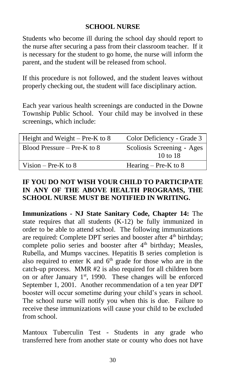#### **SCHOOL NURSE**

Students who become ill during the school day should report to the nurse after securing a pass from their classroom teacher. If it is necessary for the student to go home, the nurse will inform the parent, and the student will be released from school.

If this procedure is not followed, and the student leaves without properly checking out, the student will face disciplinary action.

Each year various health screenings are conducted in the Downe Township Public School. Your child may be involved in these screenings, which include:

| Height and Weight – Pre-K to $8$ | Color Deficiency - Grade 3 |
|----------------------------------|----------------------------|
| Blood Pressure – Pre-K to $8$    | Scoliosis Screening - Ages |
|                                  | $10 \text{ to } 18$        |
| Vision – Pre-K to $8$            | Hearing – Pre-K to $8$     |

#### **IF YOU DO NOT WISH YOUR CHILD TO PARTICIPATE IN ANY OF THE ABOVE HEALTH PROGRAMS, THE SCHOOL NURSE MUST BE NOTIFIED IN WRITING.**

**Immunizations - NJ State Sanitary Code, Chapter 14:** The state requires that all students (K-12) be fully immunized in order to be able to attend school. The following immunizations are required: Complete DPT series and booster after  $4<sup>th</sup>$  birthday; complete polio series and booster after 4<sup>th</sup> birthday; Measles, Rubella, and Mumps vaccines. Hepatitis B series completion is also required to enter K and  $6<sup>th</sup>$  grade for those who are in the catch-up process. MMR #2 is also required for all children born on or after January  $1<sup>st</sup>$ , 1990. These changes will be enforced September 1, 2001. Another recommendation of a ten year DPT booster will occur sometime during your child's years in school. The school nurse will notify you when this is due. Failure to receive these immunizations will cause your child to be excluded from school.

Mantoux Tuberculin Test - Students in any grade who transferred here from another state or county who does not have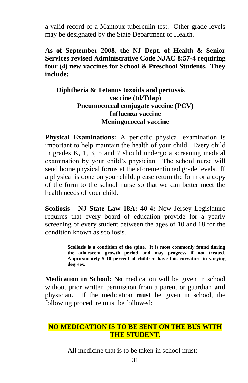a valid record of a Mantoux tuberculin test. Other grade levels may be designated by the State Department of Health.

**As of September 2008, the NJ Dept. of Health & Senior Services revised Administrative Code NJAC 8:57-4 requiring four (4) new vaccines for School & Preschool Students. They include:** 

#### **Diphtheria & Tetanus toxoids and pertussis vaccine (td/Tdap) Pneumococcal conjugate vaccine (PCV) Influenza vaccine Meningococcal vaccine**

**Physical Examinations:** A periodic physical examination is important to help maintain the health of your child. Every child in grades K, 1, 3, 5 and 7 should undergo a screening medical examination by your child's physician. The school nurse will send home physical forms at the aforementioned grade levels. If a physical is done on your child, please return the form or a copy of the form to the school nurse so that we can better meet the health needs of your child.

**Scoliosis - NJ State Law 18A: 40-4:** New Jersey Legislature requires that every board of education provide for a yearly screening of every student between the ages of 10 and 18 for the condition known as scoliosis.

> **Scoliosis is a condition of the spine. It is most commonly found during the adolescent growth period and may progress if not treated. Approximately 5-10 percent of children have this curvature in varying degrees.**

**Medication in School: No** medication will be given in school without prior written permission from a parent or guardian **and** physician. If the medication **must** be given in school, the following procedure must be followed:

#### **NO MEDICATION IS TO BE SENT ON THE BUS WITH THE STUDENT.**

All medicine that is to be taken in school must.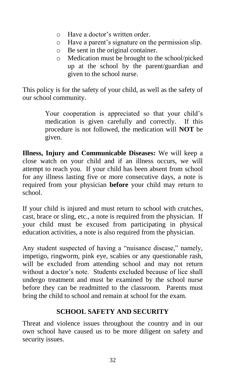- o Have a doctor's written order.
- o Have a parent's signature on the permission slip.
- o Be sent in the original container.
- o Medication must be brought to the school/picked up at the school by the parent/guardian and given to the school nurse.

This policy is for the safety of your child, as well as the safety of our school community.

> Your cooperation is appreciated so that your child's medication is given carefully and correctly. If this procedure is not followed, the medication will **NOT** be given.

**Illness, Injury and Communicable Diseases:** We will keep a close watch on your child and if an illness occurs, we will attempt to reach you. If your child has been absent from school for any illness lasting five or more consecutive days, a note is required from your physician **before** your child may return to school.

If your child is injured and must return to school with crutches, cast, brace or sling, etc., a note is required from the physician. If your child must be excused from participating in physical education activities, a note is also required from the physician.

Any student suspected of having a "nuisance disease," namely, impetigo, ringworm, pink eye, scabies or any questionable rash, will be excluded from attending school and may not return without a doctor's note. Students excluded because of lice shall undergo treatment and must be examined by the school nurse before they can be readmitted to the classroom. Parents must bring the child to school and remain at school for the exam.

#### **SCHOOL SAFETY AND SECURITY**

Threat and violence issues throughout the country and in our own school have caused us to be more diligent on safety and security issues.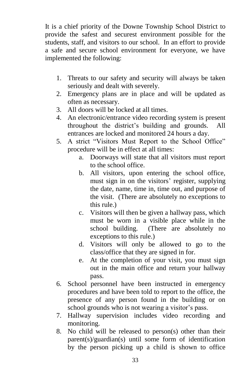It is a chief priority of the Downe Township School District to provide the safest and securest environment possible for the students, staff, and visitors to our school. In an effort to provide a safe and secure school environment for everyone, we have implemented the following:

- 1. Threats to our safety and security will always be taken seriously and dealt with severely.
- 2. Emergency plans are in place and will be updated as often as necessary.
- 3. All doors will be locked at all times.
- 4. An electronic/entrance video recording system is present throughout the district's building and grounds. All entrances are locked and monitored 24 hours a day.
- 5. A strict "Visitors Must Report to the School Office" procedure will be in effect at all times:
	- a. Doorways will state that all visitors must report to the school office.
	- b. All visitors, upon entering the school office, must sign in on the visitors' register, supplying the date, name, time in, time out, and purpose of the visit. (There are absolutely no exceptions to this rule.)
	- c. Visitors will then be given a hallway pass, which must be worn in a visible place while in the school building. (There are absolutely no exceptions to this rule.)
	- d. Visitors will only be allowed to go to the class/office that they are signed in for.
	- e. At the completion of your visit, you must sign out in the main office and return your hallway pass.
- 6. School personnel have been instructed in emergency procedures and have been told to report to the office, the presence of any person found in the building or on school grounds who is not wearing a visitor's pass.
- 7. Hallway supervision includes video recording and monitoring.
- 8. No child will be released to person(s) other than their parent(s)/guardian(s) until some form of identification by the person picking up a child is shown to office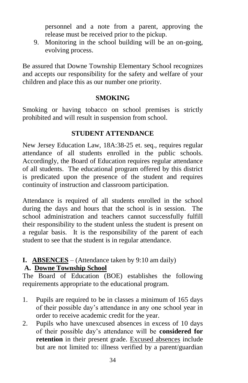personnel and a note from a parent, approving the release must be received prior to the pickup.

9. Monitoring in the school building will be an on-going, evolving process.

Be assured that Downe Township Elementary School recognizes and accepts our responsibility for the safety and welfare of your children and place this as our number one priority.

#### **SMOKING**

Smoking or having tobacco on school premises is strictly prohibited and will result in suspension from school.

#### **STUDENT ATTENDANCE**

New Jersey Education Law, 18A:38-25 et. seq., requires regular attendance of all students enrolled in the public schools. Accordingly, the Board of Education requires regular attendance of all students. The educational program offered by this district is predicated upon the presence of the student and requires continuity of instruction and classroom participation.

Attendance is required of all students enrolled in the school during the days and hours that the school is in session. The school administration and teachers cannot successfully fulfill their responsibility to the student unless the student is present on a regular basis. It is the responsibility of the parent of each student to see that the student is in regular attendance.

#### **I. ABSENCES** – (Attendance taken by 9:10 am daily)

#### **A. Downe Township School**

The Board of Education (BOE) establishes the following requirements appropriate to the educational program.

- 1. Pupils are required to be in classes a minimum of 165 days of their possible day's attendance in any one school year in order to receive academic credit for the year.
- 2. Pupils who have unexcused absences in excess of 10 days of their possible day's attendance will be **considered for retention** in their present grade. Excused absences include but are not limited to: illness verified by a parent/guardian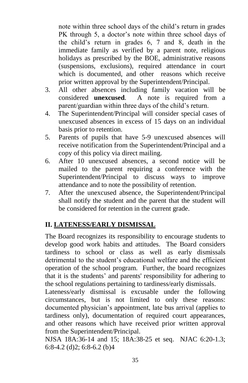note within three school days of the child's return in grades PK through 5, a doctor's note within three school days of the child's return in grades 6, 7 and 8, death in the immediate family as verified by a parent note, religious holidays as prescribed by the BOE, administrative reasons (suspensions, exclusions), required attendance in court which is documented, and other reasons which receive prior written approval by the Superintendent/Principal.

- 3. All other absences including family vacation will be considered **unexcused**. A note is required from a A note is required from a parent/guardian within three days of the child's return.
- 4. The Superintendent/Principal will consider special cases of unexcused absences in excess of 15 days on an individual basis prior to retention.
- 5. Parents of pupils that have 5-9 unexcused absences will receive notification from the Superintendent/Principal and a copy of this policy via direct mailing.
- 6. After 10 unexcused absences, a second notice will be mailed to the parent requiring a conference with the Superintendent/Principal to discuss ways to improve attendance and to note the possibility of retention.
- 7. After the unexcused absence, the Superintendent/Principal shall notify the student and the parent that the student will be considered for retention in the current grade.

#### **II. LATENESS/EARLY DISMISSAL**

The Board recognizes its responsibility to encourage students to develop good work habits and attitudes. The Board considers tardiness to school or class as well as early dismissals detrimental to the student's educational welfare and the efficient operation of the school program. Further, the board recognizes that it is the students' and parents' responsibility for adhering to the school regulations pertaining to tardiness/early dismissals.

Lateness/early dismissal is excusable under the following circumstances, but is not limited to only these reasons: documented physician's appointment, late bus arrival (applies to tardiness only), documentation of required court appearances, and other reasons which have received prior written approval from the Superintendent/Principal.

NJSA 18A:36-14 and 15; 18A:38-25 et seq. NJAC 6:20-1.3; 6:8-4.2 (d)2; 6:8-6.2 (b)4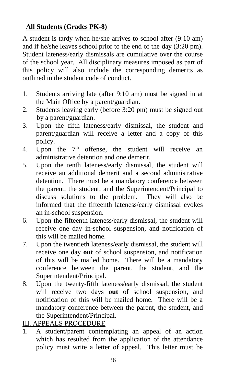#### **All Students (Grades PK-8)**

A student is tardy when he/she arrives to school after (9:10 am) and if he/she leaves school prior to the end of the day (3:20 pm). Student lateness/early dismissals are cumulative over the course of the school year. All disciplinary measures imposed as part of this policy will also include the corresponding demerits as outlined in the student code of conduct.

- 1. Students arriving late (after 9:10 am) must be signed in at the Main Office by a parent/guardian.
- 2. Students leaving early (before 3:20 pm) must be signed out by a parent/guardian.
- 3. Upon the fifth lateness/early dismissal, the student and parent/guardian will receive a letter and a copy of this policy.
- 4. Upon the  $7<sup>th</sup>$  offense, the student will receive an administrative detention and one demerit.
- 5. Upon the tenth lateness/early dismissal, the student will receive an additional demerit and a second administrative detention. There must be a mandatory conference between the parent, the student, and the Superintendent/Principal to discuss solutions to the problem. They will also be informed that the fifteenth lateness/early dismissal evokes an in-school suspension.
- 6. Upon the fifteenth lateness/early dismissal, the student will receive one day in-school suspension, and notification of this will be mailed home.
- 7. Upon the twentieth lateness/early dismissal, the student will receive one day **out** of school suspension, and notification of this will be mailed home. There will be a mandatory conference between the parent, the student, and the Superintendent/Principal.
- 8. Upon the twenty-fifth lateness/early dismissal, the student will receive two days **out** of school suspension, and notification of this will be mailed home. There will be a mandatory conference between the parent, the student, and the Superintendent/Principal.

III. APPEALS PROCEDURE

1. A student/parent contemplating an appeal of an action which has resulted from the application of the attendance policy must write a letter of appeal. This letter must be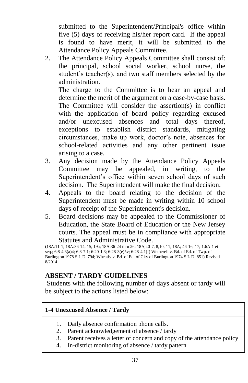submitted to the Superintendent/Principal's office within five (5) days of receiving his/her report card. If the appeal is found to have merit, it will be submitted to the Attendance Policy Appeals Committee.

2. The Attendance Policy Appeals Committee shall consist of: the principal, school social worker, school nurse, the student's teacher(s), and two staff members selected by the administration.

The charge to the Committee is to hear an appeal and determine the merit of the argument on a case-by-case basis. The Committee will consider the assertion(s) in conflict with the application of board policy regarding excused and/or unexcused absences and total days thereof, exceptions to establish district standards, mitigating circumstances, make up work, doctor's note, absences for school-related activities and any other pertinent issue arising to a case.

- 3. Any decision made by the Attendance Policy Appeals Committee may be appealed, in writing, to the Superintendent's office within seven school days of such decision. The Superintendent will make the final decision.
- 4. Appeals to the board relating to the decision of the Superintendent must be made in writing within 10 school days of receipt of the Superintendent's decision.
- 5. Board decisions may be appealed to the Commissioner of Education, the State Board of Education or the New Jersey courts. The appeal must be in compliance with appropriate Statutes and Administrative Code.

(18A:11-1; 18A:36-14, 15, 19a; 18A:36-24 thru 26; 18A;40-7, 8,10, 11; 18A; 46-16, 17; 1:6A-1 et seq.; 6:8-4.3(a)4; 6:8-7.1; 6:20-1.3; 6:28-3(e)5v; 6:28-4.1(f) Wetherell v. Bd. of Ed. of Twp. of Burlington 1978 S.L.D. 794; Wheatly v. Bd. of Ed. of City of Burlington 1974 S.L.D. 851) Revised 8/2014

#### **ABSENT / TARDY GUIDELINES**

Students with the following number of days absent or tardy will be subject to the actions listed below:

#### **1-4 Unexcused Absence / Tardy**

- 1. Daily absence confirmation phone calls.
- 2. Parent acknowledgement of absence / tardy
- 3. Parent receives a letter of concern and copy of the attendance policy
- 4. In-district monitoring of absence / tardy pattern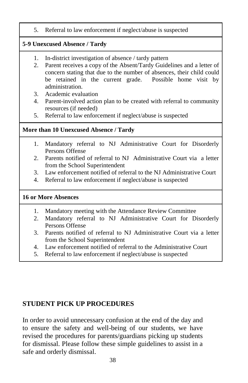5. Referral to law enforcement if neglect/abuse is suspected

#### **5-9 Unexcused Absence / Tardy**

- 1. In-district investigation of absence / tardy pattern
- 2. Parent receives a copy of the Absent/Tardy Guidelines and a letter of concern stating that due to the number of absences, their child could be retained in the current grade. Possible home visit by administration.
- 3. Academic evaluation
- 4. Parent-involved action plan to be created with referral to community resources (if needed)
- 5. Referral to law enforcement if neglect/abuse is suspected

#### **More than 10 Unexcused Absence / Tardy**

- 1. Mandatory referral to NJ Administrative Court for Disorderly Persons Offense
- 2. Parents notified of referral to NJ Administrative Court via a letter from the School Superintendent
- 3. Law enforcement notified of referral to the NJ Administrative Court
- 4. Referral to law enforcement if neglect/abuse is suspected

#### **16 or More Absences**

- 1. Mandatory meeting with the Attendance Review Committee
- 2. Mandatory referral to NJ Administrative Court for Disorderly Persons Offense
- 3. Parents notified of referral to NJ Administrative Court via a letter from the School Superintendent
- 4. Law enforcement notified of referral to the Administrative Court
- 5. Referral to law enforcement if neglect/abuse is suspected

#### **STUDENT PICK UP PROCEDURES**

In order to avoid unnecessary confusion at the end of the day and to ensure the safety and well-being of our students, we have revised the procedures for parents/guardians picking up students for dismissal. Please follow these simple guidelines to assist in a safe and orderly dismissal.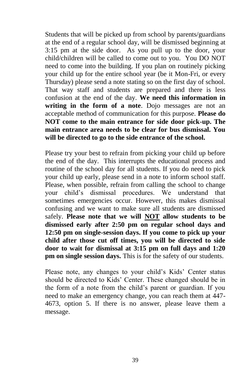Students that will be picked up from school by parents/guardians at the end of a regular school day, will be dismissed beginning at 3:15 pm at the side door. As you pull up to the door, your child/children will be called to come out to you. You DO NOT need to come into the building. If you plan on routinely picking your child up for the entire school year (be it Mon-Fri, or every Thursday) please send a note stating so on the first day of school. That way staff and students are prepared and there is less confusion at the end of the day. **We need this information in writing in the form of a note**. Dojo messages are not an acceptable method of communication for this purpose. **Please do NOT come to the main entrance for side door pick-up. The main entrance area needs to be clear for bus dismissal. You will be directed to go to the side entrance of the school.**

Please try your best to refrain from picking your child up before the end of the day. This interrupts the educational process and routine of the school day for all students. If you do need to pick your child up early, please send in a note to inform school staff. Please, when possible, refrain from calling the school to change your child's dismissal procedures. We understand that sometimes emergencies occur. However, this makes dismissal confusing and we want to make sure all students are dismissed safely. **Please note that we will NOT allow students to be dismissed early after 2:50 pm on regular school days and 12:50 pm on single-session days. If you come to pick up your child after those cut off times, you will be directed to side door to wait for dismissal at 3:15 pm on full days and 1:20 pm on single session days.** This is for the safety of our students.

Please note, any changes to your child's Kids' Center status should be directed to Kids' Center. These changed should be in the form of a note from the child's parent or guardian. If you need to make an emergency change, you can reach them at 447- 4673, option 5. If there is no answer, please leave them a message.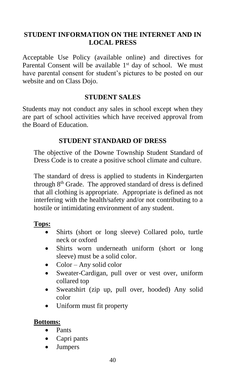#### **STUDENT INFORMATION ON THE INTERNET AND IN LOCAL PRESS**

Acceptable Use Policy (available online) and directives for Parental Consent will be available  $1<sup>st</sup>$  day of school. We must have parental consent for student's pictures to be posted on our website and on Class Dojo.

#### **STUDENT SALES**

Students may not conduct any sales in school except when they are part of school activities which have received approval from the Board of Education.

#### **STUDENT STANDARD OF DRESS**

The objective of the Downe Township Student Standard of Dress Code is to create a positive school climate and culture.

The standard of dress is applied to students in Kindergarten through 8<sup>th</sup> Grade. The approved standard of dress is defined that all clothing is appropriate. Appropriate is defined as not interfering with the health/safety and/or not contributing to a hostile or intimidating environment of any student.

#### **Tops:**

- Shirts (short or long sleeve) Collared polo, turtle neck or oxford
- Shirts worn underneath uniform (short or long sleeve) must be a solid color.
- Color Any solid color
- Sweater-Cardigan, pull over or vest over, uniform collared top
- Sweatshirt (zip up, pull over, hooded) Any solid color
- Uniform must fit property

#### **Bottoms:**

- Pants
- Capri pants
- Jumpers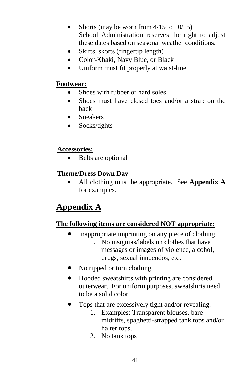- Shorts (may be worn from 4/15 to 10/15) School Administration reserves the right to adjust these dates based on seasonal weather conditions.
- Skirts, skorts (fingertip length)
- Color-Khaki, Navy Blue, or Black
- Uniform must fit properly at waist-line.

#### **Footwear:**

- Shoes with rubber or hard soles
- Shoes must have closed toes and/or a strap on the back
- Sneakers
- Socks/tights

#### **Accessories:**

• Belts are optional

#### **Theme/Dress Down Day**

 All clothing must be appropriate. See **Appendix A** for examples.

## **Appendix A**

#### **The following items are considered NOT appropriate:**

- Inappropriate imprinting on any piece of clothing
	- 1. No insignias/labels on clothes that have messages or images of violence, alcohol, drugs, sexual innuendos, etc.
- No ripped or torn clothing
- Hooded sweatshirts with printing are considered outerwear. For uniform purposes, sweatshirts need to be a solid color.
- Tops that are excessively tight and/or revealing.
	- 1. Examples: Transparent blouses, bare midriffs, spaghetti-strapped tank tops and/or halter tops.
	- 2. No tank tops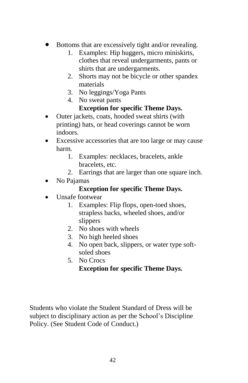- Bottoms that are excessively tight and/or revealing.
	- 1. Examples: Hip huggers, micro miniskirts, clothes that reveal undergarments, pants or shirts that are undergarments.
	- 2. Shorts may not be bicycle or other spandex materials
	- 3. No leggings/Yoga Pants
	- 4. No sweat pants

#### **Exception for specific Theme Days.**

- Outer jackets, coats, hooded sweat shirts (with printing) hats, or head coverings cannot be worn indoors.
- Excessive accessories that are too large or may cause harm.
	- 1. Examples: necklaces, bracelets, ankle bracelets, etc.
	- 2. Earrings that are larger than one square inch.
- No Pajamas

#### **Exception for specific Theme Days.**

- Unsafe footwear
	- 1. Examples: Flip flops, open-toed shoes, strapless backs, wheeled shoes, and/or slippers
	- 2. No shoes with wheels
	- 3. No high heeled shoes
	- 4. No open back, slippers, or water type softsoled shoes
	- 5. No Crocs **Exception for specific Theme Days.**

Students who violate the Student Standard of Dress will be subject to disciplinary action as per the School's Discipline Policy. (See Student Code of Conduct.)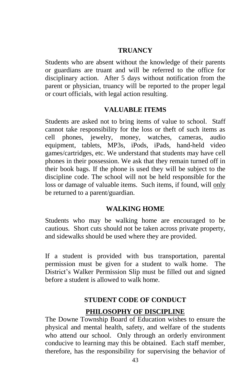#### **TRUANCY**

Students who are absent without the knowledge of their parents or guardians are truant and will be referred to the office for disciplinary action. After 5 days without notification from the parent or physician, truancy will be reported to the proper legal or court officials, with legal action resulting.

#### **VALUABLE ITEMS**

Students are asked not to bring items of value to school. Staff cannot take responsibility for the loss or theft of such items as cell phones, jewelry, money, watches, cameras, audio equipment, tablets, MP3s, iPods, iPads, hand-held video games/cartridges, etc. We understand that students may have cell phones in their possession. We ask that they remain turned off in their book bags. If the phone is used they will be subject to the discipline code. The school will not be held responsible for the loss or damage of valuable items. Such items, if found, will only be returned to a parent/guardian.

#### **WALKING HOME**

Students who may be walking home are encouraged to be cautious. Short cuts should not be taken across private property, and sidewalks should be used where they are provided.

If a student is provided with bus transportation, parental permission must be given for a student to walk home. The District's Walker Permission Slip must be filled out and signed before a student is allowed to walk home.

#### **STUDENT CODE OF CONDUCT**

#### **PHILOSOPHY OF DISCIPLINE**

The Downe Township Board of Education wishes to ensure the physical and mental health, safety, and welfare of the students who attend our school. Only through an orderly environment conducive to learning may this be obtained. Each staff member, therefore, has the responsibility for supervising the behavior of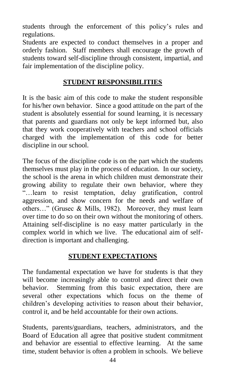students through the enforcement of this policy's rules and regulations.

Students are expected to conduct themselves in a proper and orderly fashion. Staff members shall encourage the growth of students toward self-discipline through consistent, impartial, and fair implementation of the discipline policy.

#### **STUDENT RESPONSIBILITIES**

It is the basic aim of this code to make the student responsible for his/her own behavior. Since a good attitude on the part of the student is absolutely essential for sound learning, it is necessary that parents and guardians not only be kept informed but, also that they work cooperatively with teachers and school officials charged with the implementation of this code for better discipline in our school.

The focus of the discipline code is on the part which the students themselves must play in the process of education. In our society, the school is the arena in which children must demonstrate their growing ability to regulate their own behavior, where they "…learn to resist temptation, delay gratification, control aggression, and show concern for the needs and welfare of others…" (Grusec & Mills, 1982). Moreover, they must learn over time to do so on their own without the monitoring of others. Attaining self-discipline is no easy matter particularly in the complex world in which we live. The educational aim of selfdirection is important and challenging.

#### **STUDENT EXPECTATIONS**

The fundamental expectation we have for students is that they will become increasingly able to control and direct their own behavior. Stemming from this basic expectation, there are several other expectations which focus on the theme of children's developing activities to reason about their behavior, control it, and be held accountable for their own actions.

Students, parents/guardians, teachers, administrators, and the Board of Education all agree that positive student commitment and behavior are essential to effective learning. At the same time, student behavior is often a problem in schools. We believe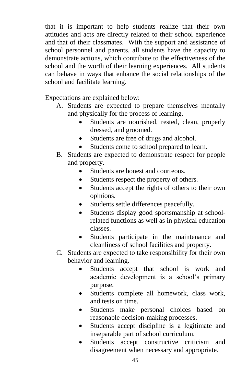that it is important to help students realize that their own attitudes and acts are directly related to their school experience and that of their classmates. With the support and assistance of school personnel and parents, all students have the capacity to demonstrate actions, which contribute to the effectiveness of the school and the worth of their learning experiences. All students can behave in ways that enhance the social relationships of the school and facilitate learning.

Expectations are explained below:

- A. Students are expected to prepare themselves mentally and physically for the process of learning.
	- Students are nourished, rested, clean, properly dressed, and groomed.
	- Students are free of drugs and alcohol.
	- Students come to school prepared to learn.
- B. Students are expected to demonstrate respect for people and property.
	- Students are honest and courteous.
	- Students respect the property of others.
	- Students accept the rights of others to their own opinions.
	- Students settle differences peacefully.
	- Students display good sportsmanship at schoolrelated functions as well as in physical education classes.
	- Students participate in the maintenance and cleanliness of school facilities and property.
- C. Students are expected to take responsibility for their own behavior and learning.
	- Students accept that school is work and academic development is a school's primary purpose.
	- Students complete all homework, class work, and tests on time.
	- Students make personal choices based on reasonable decision-making processes.
	- Students accept discipline is a legitimate and inseparable part of school curriculum.
	- Students accept constructive criticism and disagreement when necessary and appropriate.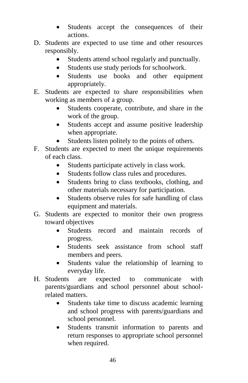- Students accept the consequences of their actions.
- D. Students are expected to use time and other resources responsibly.
	- Students attend school regularly and punctually.
	- Students use study periods for schoolwork.
	- Students use books and other equipment appropriately.
- E. Students are expected to share responsibilities when working as members of a group.
	- Students cooperate, contribute, and share in the work of the group.
	- Students accept and assume positive leadership when appropriate.
	- Students listen politely to the points of others.
- F. Students are expected to meet the unique requirements of each class.
	- Students participate actively in class work.
	- Students follow class rules and procedures.
	- Students bring to class textbooks, clothing, and other materials necessary for participation.
	- Students observe rules for safe handling of class equipment and materials.
- G. Students are expected to monitor their own progress toward objectives
	- Students record and maintain records of progress.
	- Students seek assistance from school staff members and peers.
	- Students value the relationship of learning to everyday life.
- H. Students are expected to communicate with parents/guardians and school personnel about schoolrelated matters.
	- Students take time to discuss academic learning and school progress with parents/guardians and school personnel.
	- Students transmit information to parents and return responses to appropriate school personnel when required.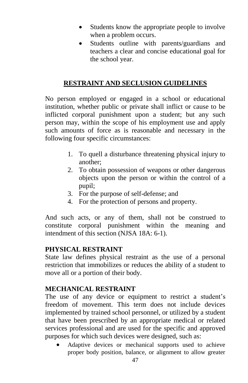- Students know the appropriate people to involve when a problem occurs.
- Students outline with parents/guardians and teachers a clear and concise educational goal for the school year.

#### **RESTRAINT AND SECLUSION GUIDELINES**

No person employed or engaged in a school or educational institution, whether public or private shall inflict or cause to be inflicted corporal punishment upon a student; but any such person may, within the scope of his employment use and apply such amounts of force as is reasonable and necessary in the following four specific circumstances:

- 1. To quell a disturbance threatening physical injury to another;
- 2. To obtain possession of weapons or other dangerous objects upon the person or within the control of a pupil;
- 3. For the purpose of self-defense; and
- 4. For the protection of persons and property.

And such acts, or any of them, shall not be construed to constitute corporal punishment within the meaning and intendment of this section (NJSA 18A: 6-1).

#### **PHYSICAL RESTRAINT**

State law defines physical restraint as the use of a personal restriction that immobilizes or reduces the ability of a student to move all or a portion of their body.

#### **MECHANICAL RESTRAINT**

The use of any device or equipment to restrict a student's freedom of movement. This term does not include devices implemented by trained school personnel, or utilized by a student that have been prescribed by an appropriate medical or related services professional and are used for the specific and approved purposes for which such devices were designed, such as:

 Adaptive devices or mechanical supports used to achieve proper body position, balance, or alignment to allow greater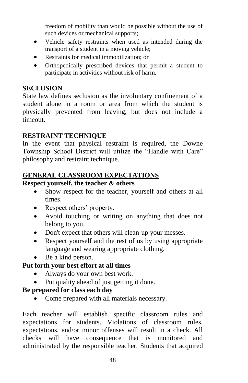freedom of mobility than would be possible without the use of such devices or mechanical supports;

- Vehicle safety restraints when used as intended during the transport of a student in a moving vehicle;
- Restraints for medical immobilization; or
- Orthopedically prescribed devices that permit a student to participate in activities without risk of harm.

#### **SECLUSION**

State law defines seclusion as the involuntary confinement of a student alone in a room or area from which the student is physically prevented from leaving, but does not include a timeout.

#### **RESTRAINT TECHNIQUE**

In the event that physical restraint is required, the Downe Township School District will utilize the "Handle with Care" philosophy and restraint technique.

#### **GENERAL CLASSROOM EXPECTATIONS**

#### **Respect yourself, the teacher & others**

- Show respect for the teacher, yourself and others at all times.
- Respect others' property.
- Avoid touching or writing on anything that does not belong to you.
- Don't expect that others will clean-up your messes.
- Respect yourself and the rest of us by using appropriate language and wearing appropriate clothing.
- Be a kind person.

#### **Put forth your best effort at all times**

- Always do your own best work.
- Put quality ahead of just getting it done.

#### **Be prepared for class each day**

Come prepared with all materials necessary.

Each teacher will establish specific classroom rules and expectations for students. Violations of classroom rules, expectations, and/or minor offenses will result in a check. All checks will have consequence that is monitored and administrated by the responsible teacher. Students that acquired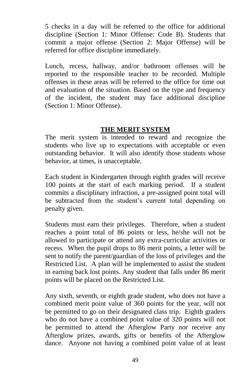5 checks in a day will be referred to the office for additional discipline (Section 1: Minor Offense: Code B). Students that commit a major offense (Section 2: Major Offense) will be referred for office discipline immediately.

Lunch, recess, hallway, and/or bathroom offenses will be reported to the responsible teacher to be recorded. Multiple offenses in these areas will be referred to the office for time out and evaluation of the situation. Based on the type and frequency of the incident, the student may face additional discipline (Section 1: Minor Offense).

#### **THE MERIT SYSTEM**

The merit system is intended to reward and recognize the students who live up to expectations with acceptable or even outstanding behavior. It will also identify those students whose behavior, at times, is unacceptable.

Each student in Kindergarten through eighth grades will receive 100 points at the start of each marking period. If a student commits a disciplinary infraction, a pre-assigned point total will be subtracted from the student's current total depending on penalty given.

Students must earn their privileges. Therefore, when a student reaches a point total of 86 points or less, he/she will not be allowed to participate or attend any extra-curricular activities or recess. When the pupil drops to 86 merit points, a letter will be sent to notify the parent/guardian of the loss of privileges and the Restricted List. A plan will be implemented to assist the student in earning back lost points. Any student that falls under 86 merit points will be placed on the Restricted List.

Any sixth, seventh, or eighth grade student, who does not have a combined merit point value of 360 points for the year, will not be permitted to go on their designated class trip. Eighth graders who do not have a combined point value of 320 points will not be permitted to attend the Afterglow Party nor receive any Afterglow prizes, awards, gifts or benefits of the Afterglow dance. Anyone not having a combined point value of at least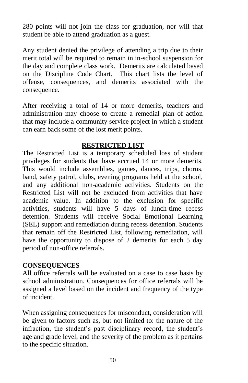280 points will not join the class for graduation, nor will that student be able to attend graduation as a guest.

Any student denied the privilege of attending a trip due to their merit total will be required to remain in in-school suspension for the day and complete class work. Demerits are calculated based on the Discipline Code Chart. This chart lists the level of offense, consequences, and demerits associated with the consequence.

After receiving a total of 14 or more demerits, teachers and administration may choose to create a remedial plan of action that may include a community service project in which a student can earn back some of the lost merit points.

#### **RESTRICTED LIST**

The Restricted List is a temporary scheduled loss of student privileges for students that have accrued 14 or more demerits. This would include assemblies, games, dances, trips, chorus, band, safety patrol, clubs, evening programs held at the school, and any additional non-academic activities. Students on the Restricted List will not be excluded from activities that have academic value. In addition to the exclusion for specific activities, students will have 5 days of lunch-time recess detention. Students will receive Social Emotional Learning (SEL) support and remediation during recess detention. Students that remain off the Restricted List, following remediation, will have the opportunity to dispose of 2 demerits for each 5 day period of non-office referrals.

#### **CONSEQUENCES**

All office referrals will be evaluated on a case to case basis by school administration. Consequences for office referrals will be assigned a level based on the incident and frequency of the type of incident.

When assigning consequences for misconduct, consideration will be given to factors such as, but not limited to: the nature of the infraction, the student's past disciplinary record, the student's age and grade level, and the severity of the problem as it pertains to the specific situation.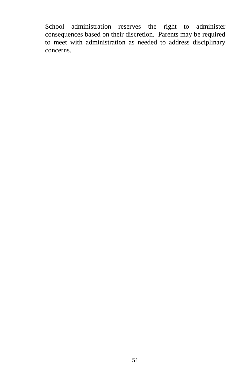School administration reserves the right to administer consequences based on their discretion. Parents may be required to meet with administration as needed to address disciplinary concerns.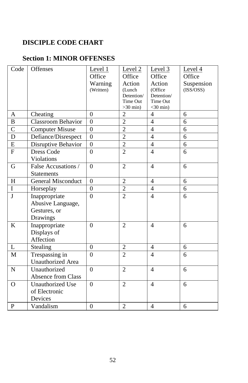#### **DISCIPLE CODE CHART**

#### **Section 1: MINOR OFFENSES**

| Code               | Offenses                                                       | Level 1<br>Office<br>Warning<br>(Written) | Level <sub>2</sub><br>Office<br>Action<br>(Lunch<br>Detention/<br>Time Out | Level 3<br>Office<br>Action<br>(Office<br>Detention/<br>Time Out | Level 4<br>Office<br>Suspension<br>(ISS/OSS) |
|--------------------|----------------------------------------------------------------|-------------------------------------------|----------------------------------------------------------------------------|------------------------------------------------------------------|----------------------------------------------|
|                    |                                                                |                                           | $>30$ min)                                                                 | $<$ 30 min)                                                      |                                              |
| A                  | Cheating                                                       | $\theta$                                  | $\overline{2}$                                                             | $\overline{4}$                                                   | 6                                            |
| $\mathbf B$        | Classroom Behavior                                             | $\theta$                                  | $\overline{2}$                                                             | $\overline{4}$                                                   | 6                                            |
| $\overline{\rm C}$ | Computer Misuse                                                | $\overline{0}$                            | $\overline{2}$                                                             | $\overline{4}$                                                   | 6                                            |
| $\overline{D}$     | Defiance/Disrespect                                            | $\overline{0}$                            | $\overline{2}$                                                             | $\overline{4}$                                                   | $\overline{6}$                               |
| E                  | Disruptive Behavior                                            | $\theta$                                  | $\overline{2}$                                                             | $\overline{4}$                                                   | 6                                            |
| ${\bf F}$          | <b>Dress Code</b><br>Violations                                | $\theta$                                  | $\overline{2}$                                                             | $\overline{4}$                                                   | 6                                            |
| G                  | False Accusations /<br><b>Statements</b>                       | $\overline{0}$                            | $\overline{2}$                                                             | $\overline{4}$                                                   | 6                                            |
| H                  | <b>General Misconduct</b>                                      | $\theta$                                  | $\overline{2}$                                                             | 4                                                                | 6                                            |
| $\overline{I}$     | Horseplay                                                      | $\overline{0}$                            | $\overline{2}$                                                             | $\overline{4}$                                                   | 6                                            |
| J                  | Inappropriate<br>Abusive Language,<br>Gestures, or<br>Drawings | $\theta$                                  | $\overline{2}$                                                             | $\overline{4}$                                                   | 6                                            |
| K                  | Inappropriate<br>Displays of<br>Affection                      | $\theta$                                  | $\overline{2}$                                                             | $\overline{4}$                                                   | 6                                            |
| $\mathbf{L}$       | Stealing                                                       | $\boldsymbol{0}$                          | $\overline{2}$                                                             | 4                                                                | 6                                            |
| $\mathbf{M}$       | Trespassing in<br><b>Unauthorized</b> Area                     | $\theta$                                  | $\overline{2}$                                                             | $\overline{4}$                                                   | 6                                            |
| $\mathbf N$        | Unauthorized<br>Absence from Class                             | $\theta$                                  | $\overline{2}$                                                             | $\overline{4}$                                                   | 6                                            |
| $\mathbf O$        | <b>Unauthorized Use</b><br>of Electronic<br>Devices            | $\theta$                                  | $\overline{2}$                                                             | $\overline{4}$                                                   | 6                                            |
| $\mathbf{P}$       | Vandalism                                                      | $\overline{0}$                            | $\overline{2}$                                                             | $\overline{4}$                                                   | 6                                            |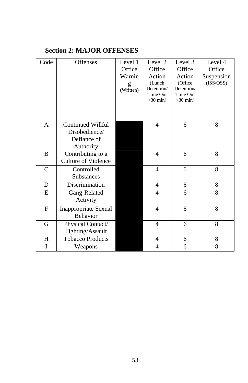#### **Section 2: MAJOR OFFENSES**

| Code      | Offenses                                        | Level 1<br>Office<br>Warnin<br>g<br>(Written) | Level 2<br>Office<br>Action<br>(Lunch<br>Detention/<br>Time Out<br>$>30$ min) | Level $3$<br>Office<br>Action<br>(Office<br>Detention/<br><b>Time Out</b><br>$<$ 30 min) | Level 4<br>Office<br>Suspension<br>(ISS/OSS) |
|-----------|-------------------------------------------------|-----------------------------------------------|-------------------------------------------------------------------------------|------------------------------------------------------------------------------------------|----------------------------------------------|
| A         | Continued Willful<br>Disobedience/              |                                               | 4                                                                             | 6                                                                                        | 8                                            |
|           | Defiance of                                     |                                               |                                                                               |                                                                                          |                                              |
|           | Authority                                       |                                               |                                                                               |                                                                                          |                                              |
| B         | Contributing to a<br><b>Culture of Violence</b> |                                               | $\overline{4}$                                                                | 6                                                                                        | 8                                            |
| C         | Controlled<br>Substances                        |                                               | 4                                                                             | 6                                                                                        | 8                                            |
| D         | Discrimination                                  |                                               | 4                                                                             | 6                                                                                        | 8                                            |
| E         | Gang-Related<br>Activity                        |                                               | $\overline{4}$                                                                | 6                                                                                        | 8                                            |
| F         | Inappropriate Sexual<br><b>Behavior</b>         |                                               | $\overline{4}$                                                                | 6                                                                                        | 8                                            |
| G         | Physical Contact/<br>Fighting/Assault           |                                               | $\overline{4}$                                                                | 6                                                                                        | 8                                            |
| $H_{\rm}$ | <b>Tobacco Products</b>                         |                                               | $\overline{4}$                                                                | 6                                                                                        | 8                                            |
| I         | Weapons                                         |                                               | 4                                                                             | 6                                                                                        | 8                                            |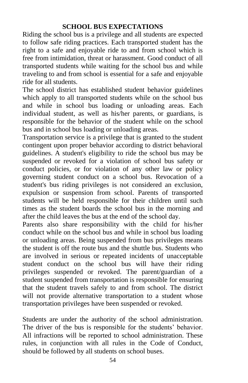#### **SCHOOL BUS EXPECTATIONS**

Riding the school bus is a privilege and all students are expected to follow safe riding practices. Each transported student has the right to a safe and enjoyable ride to and from school which is free from intimidation, threat or harassment. Good conduct of all transported students while waiting for the school bus and while traveling to and from school is essential for a safe and enjoyable ride for all students.

The school district has established student behavior guidelines which apply to all transported students while on the school bus and while in school bus loading or unloading areas. Each individual student, as well as his/her parents, or guardians, is responsible for the behavior of the student while on the school bus and in school bus loading or unloading areas.

Transportation service is a privilege that is granted to the student contingent upon proper behavior according to district behavioral guidelines. A student's eligibility to ride the school bus may be suspended or revoked for a violation of school bus safety or conduct policies, or for violation of any other law or policy governing student conduct on a school bus. Revocation of a student's bus riding privileges is not considered an exclusion, expulsion or suspension from school. Parents of transported students will be held responsible for their children until such times as the student boards the school bus in the morning and after the child leaves the bus at the end of the school day.

Parents also share responsibility with the child for his/her conduct while on the school bus and while in school bus loading or unloading areas. Being suspended from bus privileges means the student is off the route bus and the shuttle bus. Students who are involved in serious or repeated incidents of unacceptable student conduct on the school bus will have their riding privileges suspended or revoked. The parent/guardian of a student suspended from transportation is responsible for ensuring that the student travels safely to and from school. The district will not provide alternative transportation to a student whose transportation privileges have been suspended or revoked.

Students are under the authority of the school administration. The driver of the bus is responsible for the students' behavior. All infractions will be reported to school administration. These rules, in conjunction with all rules in the Code of Conduct, should be followed by all students on school buses.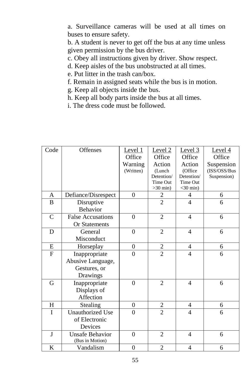a. Surveillance cameras will be used at all times on buses to ensure safety.

b. A student is never to get off the bus at any time unless given permission by the bus driver.

c. Obey all instructions given by driver. Show respect.

- d. Keep aisles of the bus unobstructed at all times.
- e. Put litter in the trash can/box.
- f. Remain in assigned seats while the bus is in motion.
- g. Keep all objects inside the bus.
- h. Keep all body parts inside the bus at all times.
- i. The dress code must be followed.

| Code          | Offenses                 | Level 1          | Level <sub>2</sub> | Level <sub>3</sub> | Level $4$    |
|---------------|--------------------------|------------------|--------------------|--------------------|--------------|
|               |                          | Office           | Office             | Office             | Office       |
|               |                          | Warning          | Action             | Action             | Suspension   |
|               |                          | (Written)        | (Lunch)            | (Office            | (ISS/OSS/Bus |
|               |                          |                  | Detention/         | Detention/         | Suspension)  |
|               |                          |                  | Time Out           | Time Out           |              |
|               |                          |                  | $>30$ min)         | $<$ 30 min)        |              |
| A             | Defiance/Disrespect      | $\theta$         | 2                  | $\overline{4}$     | 6            |
| B             | Disruptive               |                  | $\overline{2}$     | $\overline{4}$     | 6            |
|               | Behavior                 |                  |                    |                    |              |
| $\mathcal{C}$ | <b>False Accusations</b> | $\theta$         | $\overline{2}$     | $\overline{4}$     | 6            |
|               | Or Statements            |                  |                    |                    |              |
| D             | General                  | $\theta$         | $\overline{2}$     | $\overline{4}$     | 6            |
|               | Misconduct               |                  |                    |                    |              |
| E             | Horseplay                | $\overline{0}$   | $\overline{c}$     | 4                  | 6            |
| ${\bf F}$     | Inappropriate            | $\theta$         | $\overline{2}$     | $\overline{4}$     | 6            |
|               | Abusive Language,        |                  |                    |                    |              |
|               | Gestures, or             |                  |                    |                    |              |
|               | Drawings                 |                  |                    |                    |              |
| G             | Inappropriate            | $\theta$         | $\overline{2}$     | $\overline{4}$     | 6            |
|               | Displays of              |                  |                    |                    |              |
|               | Affection                |                  |                    |                    |              |
| H             | Stealing                 | $\overline{0}$   | $\overline{c}$     | 4                  | 6            |
| T             | <b>Unauthorized Use</b>  | $\theta$         | $\overline{2}$     | $\overline{4}$     | 6            |
|               | of Electronic            |                  |                    |                    |              |
|               | Devices                  |                  |                    |                    |              |
| J             | <b>Unsafe Behavior</b>   | $\theta$         | $\overline{2}$     | $\overline{4}$     | 6            |
|               | (Bus in Motion)          |                  |                    |                    |              |
| K             | Vandalism                | $\boldsymbol{0}$ | $\overline{c}$     | $\overline{4}$     | 6            |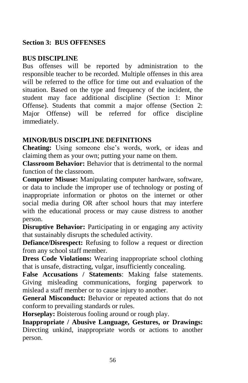#### **Section 3: BUS OFFENSES**

#### **BUS DISCIPLINE**

Bus offenses will be reported by administration to the responsible teacher to be recorded. Multiple offenses in this area will be referred to the office for time out and evaluation of the situation. Based on the type and frequency of the incident, the student may face additional discipline (Section 1: Minor Offense). Students that commit a major offense (Section 2: Major Offense) will be referred for office discipline immediately.

#### **MINOR/BUS DISCIPLINE DEFINITIONS**

**Cheating:** Using someone else's words, work, or ideas and claiming them as your own; putting your name on them.

**Classroom Behavior:** Behavior that is detrimental to the normal function of the classroom.

**Computer Misuse:** Manipulating computer hardware, software, or data to include the improper use of technology or posting of inappropriate information or photos on the internet or other social media during OR after school hours that may interfere with the educational process or may cause distress to another person.

**Disruptive Behavior:** Participating in or engaging any activity that sustainably disrupts the scheduled activity.

**Defiance/Disrespect:** Refusing to follow a request or direction from any school staff member.

**Dress Code Violations:** Wearing inappropriate school clothing that is unsafe, distracting, vulgar, insufficiently concealing.

**False Accusations / Statements**: Making false statements. Giving misleading communications, forging paperwork to mislead a staff member or to cause injury to another.

**General Misconduct:** Behavior or repeated actions that do not conform to prevailing standards or rules.

**Horseplay:** Boisterous fooling around or rough play.

**Inappropriate / Abusive Language, Gestures, or Drawings:**  Directing unkind, inappropriate words or actions to another person.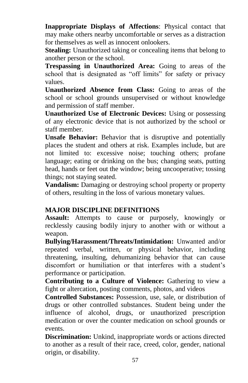**Inappropriate Displays of Affections**: Physical contact that may make others nearby uncomfortable or serves as a distraction for themselves as well as innocent onlookers.

**Stealing:** Unauthorized taking or concealing items that belong to another person or the school.

**Trespassing in Unauthorized Area:** Going to areas of the school that is designated as "off limits" for safety or privacy values.

**Unauthorized Absence from Class:** Going to areas of the school or school grounds unsupervised or without knowledge and permission of staff member.

**Unauthorized Use of Electronic Devices:** Using or possessing of any electronic device that is not authorized by the school or staff member.

**Unsafe Behavior:** Behavior that is disruptive and potentially places the student and others at risk. Examples include, but are not limited to: excessive noise; touching others; profane language; eating or drinking on the bus; changing seats, putting head, hands or feet out the window; being uncooperative; tossing things; not staying seated.

**Vandalism:** Damaging or destroying school property or property of others, resulting in the loss of various monetary values.

#### **MAJOR DISCIPLINE DEFINITIONS**

**Assault:** Attempts to cause or purposely, knowingly or recklessly causing bodily injury to another with or without a weapon.

**Bullying/Harassment/Threats/Intimidation:** Unwanted and/or repeated verbal, written, or physical behavior, including threatening, insulting, dehumanizing behavior that can cause discomfort or humiliation or that interferes with a student's performance or participation.

**Contributing to a Culture of Violence:** Gathering to view a fight or altercation, posting comments, photos, and videos

**Controlled Substances:** Possession, use, sale, or distribution of drugs or other controlled substances. Student being under the influence of alcohol, drugs, or unauthorized prescription medication or over the counter medication on school grounds or events.

**Discrimination:** Unkind, inappropriate words or actions directed to another as a result of their race, creed, color, gender, national origin, or disability.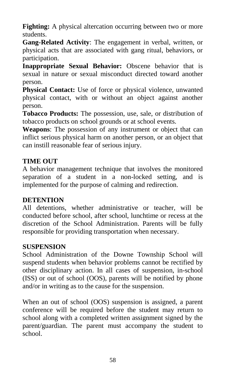**Fighting:** A physical altercation occurring between two or more students.

**Gang-Related Activity**: The engagement in verbal, written, or physical acts that are associated with gang ritual, behaviors, or participation.

**Inappropriate Sexual Behavior:** Obscene behavior that is sexual in nature or sexual misconduct directed toward another person.

**Physical Contact:** Use of force or physical violence, unwanted physical contact, with or without an object against another person.

**Tobacco Products:** The possession, use, sale, or distribution of tobacco products on school grounds or at school events.

**Weapons**: The possession of any instrument or object that can inflict serious physical harm on another person, or an object that can instill reasonable fear of serious injury.

#### **TIME OUT**

A behavior management technique that involves the monitored separation of a student in a non-locked setting, and is implemented for the purpose of calming and redirection.

#### **DETENTION**

All detentions, whether administrative or teacher, will be conducted before school, after school, lunchtime or recess at the discretion of the School Administration. Parents will be fully responsible for providing transportation when necessary.

#### **SUSPENSION**

School Administration of the Downe Township School will suspend students when behavior problems cannot be rectified by other disciplinary action. In all cases of suspension, in-school (ISS) or out of school (OOS), parents will be notified by phone and/or in writing as to the cause for the suspension.

When an out of school (OOS) suspension is assigned, a parent conference will be required before the student may return to school along with a completed written assignment signed by the parent/guardian. The parent must accompany the student to school.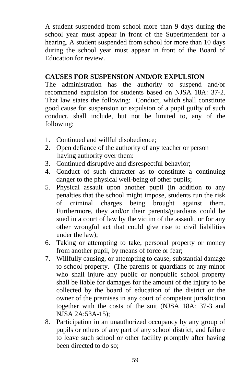A student suspended from school more than 9 days during the school year must appear in front of the Superintendent for a hearing. A student suspended from school for more than 10 days during the school year must appear in front of the Board of Education for review.

#### **CAUSES FOR SUSPENSION AND/OR EXPULSION**

The administration has the authority to suspend and/or recommend expulsion for students based on NJSA 18A: 37-2. That law states the following: Conduct, which shall constitute good cause for suspension or expulsion of a pupil guilty of such conduct, shall include, but not be limited to, any of the following:

- 1. Continued and willful disobedience;
- 2. Open defiance of the authority of any teacher or person having authority over them:
- 3. Continued disruptive and disrespectful behavior;
- 4. Conduct of such character as to constitute a continuing danger to the physical well-being of other pupils;
- 5. Physical assault upon another pupil (in addition to any penalties that the school might impose, students run the risk of criminal charges being brought against them. Furthermore, they and/or their parents/guardians could be sued in a court of law by the victim of the assault, or for any other wrongful act that could give rise to civil liabilities under the law);
- 6. Taking or attempting to take, personal property or money from another pupil, by means of force or fear;
- 7. Willfully causing, or attempting to cause, substantial damage to school property. (The parents or guardians of any minor who shall injure any public or nonpublic school property shall be liable for damages for the amount of the injury to be collected by the board of education of the district or the owner of the premises in any court of competent jurisdiction together with the costs of the suit (NJSA 18A: 37-3 and NJSA 2A:53A-15);
- 8. Participation in an unauthorized occupancy by any group of pupils or others of any part of any school district, and failure to leave such school or other facility promptly after having been directed to do so;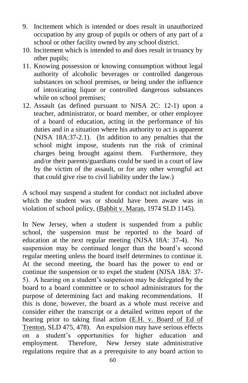- 9. Incitement which is intended or does result in unauthorized occupation by any group of pupils or others of any part of a school or other facility owned by any school district.
- 10. Incitement which is intended to and does result in truancy by other pupils;
- 11. Knowing possession or knowing consumption without legal authority of alcoholic beverages or controlled dangerous substances on school premises, or being under the influence of intoxicating liquor or controlled dangerous substances while on school premises;
- 12. Assault (as defined pursuant to NJSA 2C: 12-1) upon a teacher, administrator, or board member, or other employee of a board of education, acting in the performance of his duties and in a situation where his authority to act is apparent (NJSA 18A:37-2.1). (In addition to any penalties that the school might impose, students run the risk of criminal charges being brought against them. Furthermore, they and/or their parents/guardians could be sued in a court of law by the victim of the assault, or for any other wrongful act that could give rise to civil liability under the law.)

A school may suspend a student for conduct not included above which the student was or should have been aware was in violation of school policy, (Babbit v. Maran, 1974 SLD 1145).

In New Jersey, when a student is suspended from a public school, the suspension must be reported to the board of education at the next regular meeting (NJSA 18A: 37-4). No suspension may be continued longer than the board's second regular meeting unless the board itself determines to continue it. At the second meeting, the board has the power to end or continue the suspension or to expel the student (NJSA 18A: 37- 5). A hearing on a student's suspension may be delegated by the board to a board committee or to school administrators for the purpose of determining fact and making recommendations. If this is done, however, the board as a whole must receive and consider either the transcript or a detailed written report of the hearing prior to taking final action (E.H. v. Board of Ed of Trenton, SLD 475, 478). An expulsion may have serious effects on a student's opportunities for higher education and employment. Therefore, New Jersey state administrative regulations require that as a prerequisite to any board action to